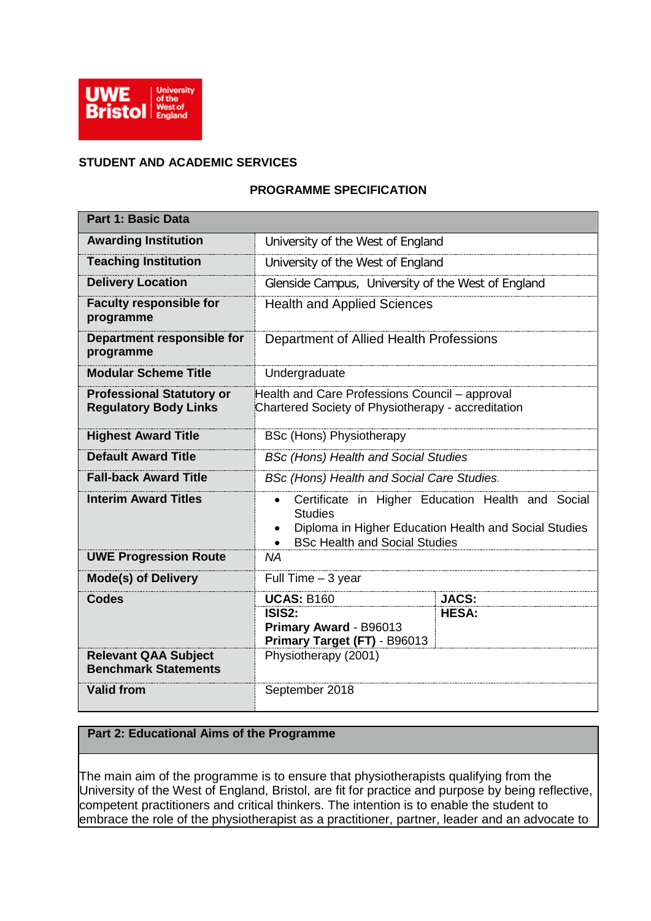

# **STUDENT AND ACADEMIC SERVICES**

# **PROGRAMME SPECIFICATION**

| <b>Part 1: Basic Data</b>                                        |                                                                                                      |                                                                                                            |
|------------------------------------------------------------------|------------------------------------------------------------------------------------------------------|------------------------------------------------------------------------------------------------------------|
| <b>Awarding Institution</b>                                      | University of the West of England                                                                    |                                                                                                            |
| <b>Teaching Institution</b>                                      | University of the West of England                                                                    |                                                                                                            |
| <b>Delivery Location</b>                                         | Glenside Campus, University of the West of England                                                   |                                                                                                            |
| <b>Faculty responsible for</b><br>programme                      | <b>Health and Applied Sciences</b>                                                                   |                                                                                                            |
| Department responsible for<br>programme                          | Department of Allied Health Professions                                                              |                                                                                                            |
| <b>Modular Scheme Title</b>                                      | Undergraduate                                                                                        |                                                                                                            |
| <b>Professional Statutory or</b><br><b>Regulatory Body Links</b> | Health and Care Professions Council - approval<br>Chartered Society of Physiotherapy - accreditation |                                                                                                            |
| <b>Highest Award Title</b>                                       | <b>BSc (Hons) Physiotherapy</b>                                                                      |                                                                                                            |
| <b>Default Award Title</b>                                       | <b>BSc (Hons) Health and Social Studies</b>                                                          |                                                                                                            |
| <b>Fall-back Award Title</b>                                     | BSc (Hons) Health and Social Care Studies.                                                           |                                                                                                            |
| <b>Interim Award Titles</b>                                      | <b>Studies</b><br>$\bullet$<br><b>BSc Health and Social Studies</b>                                  | Certificate in Higher Education Health and Social<br>Diploma in Higher Education Health and Social Studies |
| <b>UWE Progression Route</b>                                     | <b>NA</b>                                                                                            |                                                                                                            |
| <b>Mode(s) of Delivery</b>                                       | Full Time - 3 year                                                                                   |                                                                                                            |
| <b>Codes</b>                                                     | <b>UCAS: B160</b>                                                                                    | <b>JACS:</b>                                                                                               |
|                                                                  | ISIS <sub>2:</sub><br>Primary Award - B96013<br>Primary Target (FT) - B96013                         | <b>HESA:</b>                                                                                               |
| <b>Relevant QAA Subject</b><br><b>Benchmark Statements</b>       | Physiotherapy (2001)                                                                                 |                                                                                                            |
| <b>Valid from</b>                                                | September 2018                                                                                       |                                                                                                            |

# **Part 2: Educational Aims of the Programme**

The main aim of the programme is to ensure that physiotherapists qualifying from the University of the West of England, Bristol, are fit for practice and purpose by being reflective, competent practitioners and critical thinkers. The intention is to enable the student to embrace the role of the physiotherapist as a practitioner, partner, leader and an advocate to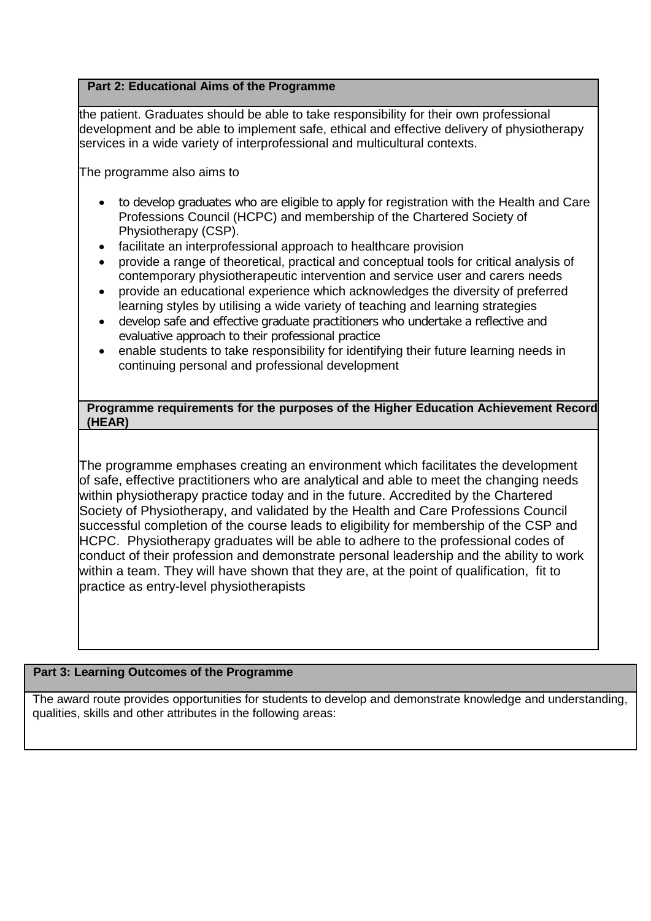# **Part 2: Educational Aims of the Programme**

the patient. Graduates should be able to take responsibility for their own professional development and be able to implement safe, ethical and effective delivery of physiotherapy services in a wide variety of interprofessional and multicultural contexts.

The programme also aims to

- to develop graduates who are eligible to apply for registration with the Health and Care Professions Council (HCPC) and membership of the Chartered Society of Physiotherapy (CSP).
- facilitate an interprofessional approach to healthcare provision
- provide a range of theoretical, practical and conceptual tools for critical analysis of contemporary physiotherapeutic intervention and service user and carers needs
- provide an educational experience which acknowledges the diversity of preferred learning styles by utilising a wide variety of teaching and learning strategies
- develop safe and effective graduate practitioners who undertake a reflective and evaluative approach to their professional practice
- enable students to take responsibility for identifying their future learning needs in continuing personal and professional development

**Programme requirements for the purposes of the Higher Education Achievement Record (HEAR)**

The programme emphases creating an environment which facilitates the development of safe, effective practitioners who are analytical and able to meet the changing needs within physiotherapy practice today and in the future. Accredited by the Chartered Society of Physiotherapy, and validated by the Health and Care Professions Council successful completion of the course leads to eligibility for membership of the CSP and HCPC. Physiotherapy graduates will be able to adhere to the professional codes of conduct of their profession and demonstrate personal leadership and the ability to work within a team. They will have shown that they are, at the point of qualification, fit to practice as entry-level physiotherapists

### **Part 3: Learning Outcomes of the Programme**

The award route provides opportunities for students to develop and demonstrate knowledge and understanding, qualities, skills and other attributes in the following areas: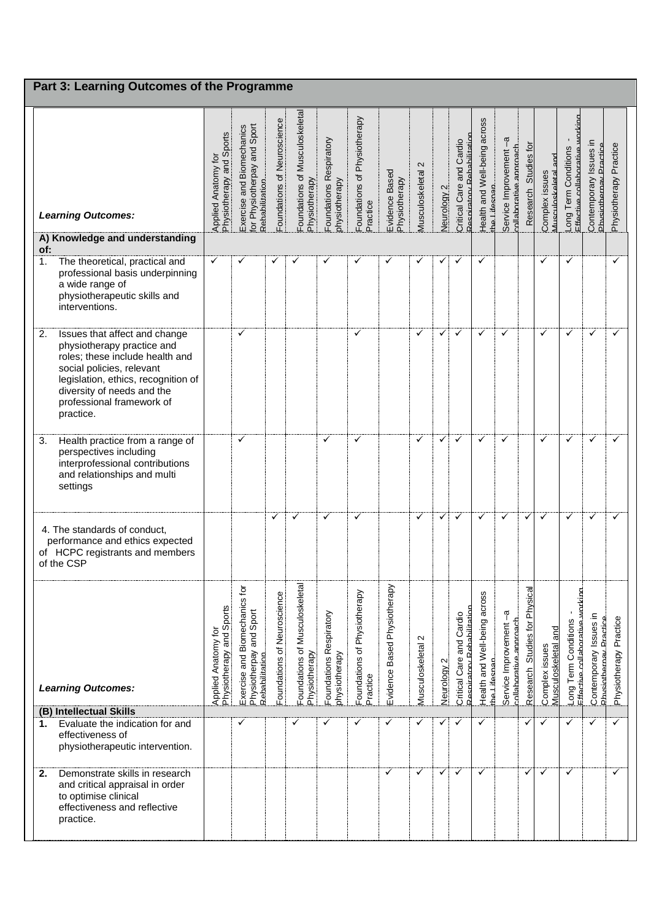| Part 3: Learning Outcomes of the Programme                                                                                                                                                                                                       |                                                 |                                                                                 |                             |                                                 |                                          |                                          |                                 |                                      |                                  |                                                                    |                                              |                                                                 |                                  |                                              |                                                           |                                                  |                        |
|--------------------------------------------------------------------------------------------------------------------------------------------------------------------------------------------------------------------------------------------------|-------------------------------------------------|---------------------------------------------------------------------------------|-----------------------------|-------------------------------------------------|------------------------------------------|------------------------------------------|---------------------------------|--------------------------------------|----------------------------------|--------------------------------------------------------------------|----------------------------------------------|-----------------------------------------------------------------|----------------------------------|----------------------------------------------|-----------------------------------------------------------|--------------------------------------------------|------------------------|
| <b>Learning Outcomes:</b>                                                                                                                                                                                                                        | Applied Anatomy for<br>Physiotherapy and Sports | and Sport<br>and Biomechanics<br>or Physiotherpay<br>Rehahilitation<br>Exercise | Foundations of Neuroscience | Foundations of Musculoskeletal<br>Physiotherapy | Foundations Respiratory<br>ohysiotherapy | Foundations of Physiotherapy<br>Practice | Evidence Based<br>Physiotherapy | $\mathbf{\Omega}$<br>Musculoskeletal | $\mathbf{N}$<br><b>Neurology</b> | Rehahilitatio<br>Cardio<br>Critical Care and<br><b>Respiratory</b> | Health and Well-being across<br>the Lifesnan | $\mathbf{r}$<br>Service Improvement -<br>collaborative approach | Studies for<br>Research          | na<br>R<br>Musculoskeletal<br>Complex issues | Long Term Conditions<br>Effective collaborative           | Contemporary Issues in<br>Physiotherpay Practice | Physiotherapy Practice |
| A) Knowledge and understanding<br>of:                                                                                                                                                                                                            |                                                 |                                                                                 |                             |                                                 |                                          |                                          |                                 |                                      |                                  |                                                                    |                                              |                                                                 |                                  |                                              |                                                           |                                                  |                        |
| The theoretical, practical and<br>1 <sub>1</sub><br>professional basis underpinning<br>a wide range of<br>physiotherapeutic skills and<br>interventions.                                                                                         | ✓                                               | ✓                                                                               |                             |                                                 | ✓                                        | ✓                                        | ✓                               |                                      | ✓                                | ✓                                                                  | ✓                                            |                                                                 |                                  | ✓                                            | ✓                                                         |                                                  | ✓                      |
| Issues that affect and change<br>2.<br>physiotherapy practice and<br>roles; these include health and<br>social policies, relevant<br>legislation, ethics, recognition of<br>diversity of needs and the<br>professional framework of<br>practice. |                                                 | ✓                                                                               |                             |                                                 |                                          | ✓                                        |                                 | ✓                                    | ✓                                | ✓                                                                  | ✓                                            | ✓                                                               |                                  | ✓                                            | ✓                                                         | ✓                                                | ✓                      |
| Health practice from a range of<br>3.<br>perspectives including<br>interprofessional contributions<br>and relationships and multi<br>settings                                                                                                    |                                                 | ✓                                                                               |                             |                                                 | $\checkmark$                             | ✓                                        |                                 | ✓                                    | ✓                                | ✓                                                                  | ✓                                            | ✓                                                               |                                  | ✓                                            | ✓                                                         | $\checkmark$                                     | ✓                      |
| 4. The standards of conduct,<br>performance and ethics expected<br>of HCPC registrants and members<br>of the CSP                                                                                                                                 |                                                 |                                                                                 | ✓                           | ✓                                               | ✓                                        | ✓                                        |                                 | ✓                                    | ✓                                | ✓                                                                  | ✓                                            | ✓                                                               | ✓                                | ✓                                            | ✓                                                         | ✓                                                | ✓                      |
| <b>Learning Outcomes:</b>                                                                                                                                                                                                                        | Physiotherapy and Sports<br>Applied Anatomy for | Exercise and Biomechanics for<br>Physiotherpay and Sport<br>Rehahilitation      | Foundations of Neuroscience | Foundations of Musculoskeletal<br>Physiotherapy | Foundations Respiratory<br>ohysiotherapy | Foundations of Physiotherapy<br>Practice | Evidence Based Physiotherapy    | $\sim$<br>Musculoskeletal            | Neurology 2                      | ahilitation<br>Cardio<br>Critical Care and<br>Respiratory          | Health and Well-being across<br>the Lifesnan | Service Improvement-a<br>collaborative approach                 | Studies for Physical<br>Research | and<br>Complex issues<br>Musculoskeletal     | Effective.collaborative.working<br>Conditions<br>ong Term | Contemporary Issues in<br>Physiothernay Practice | Physiotherapy Practice |
| (B) Intellectual Skills<br>Evaluate the indication for and<br>1.                                                                                                                                                                                 |                                                 | ✓                                                                               |                             |                                                 |                                          | ✓                                        | ✓                               |                                      |                                  | ✓                                                                  | ✓                                            |                                                                 | ✓                                | $\checkmark$                                 | ✓                                                         | ✓                                                | ✓                      |
| effectiveness of<br>physiotherapeutic intervention.                                                                                                                                                                                              |                                                 |                                                                                 |                             |                                                 |                                          |                                          |                                 |                                      |                                  |                                                                    |                                              |                                                                 |                                  |                                              |                                                           |                                                  |                        |
| Demonstrate skills in research<br>2.<br>and critical appraisal in order<br>to optimise clinical<br>effectiveness and reflective<br>practice.                                                                                                     |                                                 |                                                                                 |                             |                                                 |                                          |                                          | ✓                               | $\checkmark$                         | ✓                                | $\checkmark$                                                       | ✓                                            |                                                                 | ✓                                | ✓                                            | ✓                                                         |                                                  | ✓                      |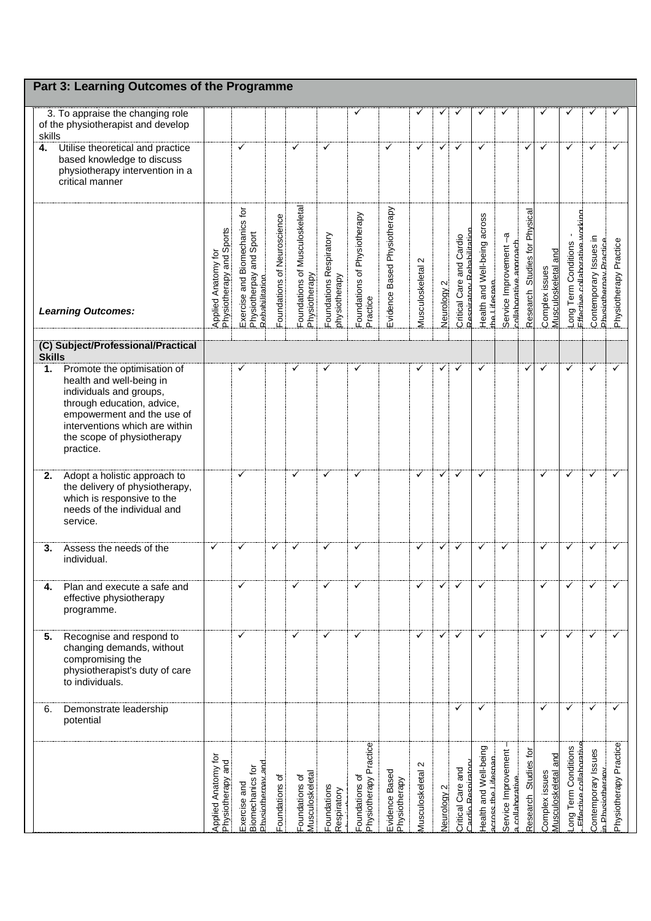|               | Part 3: Learning Outcomes of the Programme                                                                                                                                                                                  |                                                 |                                                                            |                             |                                                 |                                          |                                          |                                 |                                      |                        |                                                       |                                              |                                                 |                                         |                                                 |                                                                   |                                                         |                        |
|---------------|-----------------------------------------------------------------------------------------------------------------------------------------------------------------------------------------------------------------------------|-------------------------------------------------|----------------------------------------------------------------------------|-----------------------------|-------------------------------------------------|------------------------------------------|------------------------------------------|---------------------------------|--------------------------------------|------------------------|-------------------------------------------------------|----------------------------------------------|-------------------------------------------------|-----------------------------------------|-------------------------------------------------|-------------------------------------------------------------------|---------------------------------------------------------|------------------------|
| skills        | 3. To appraise the changing role<br>of the physiotherapist and develop                                                                                                                                                      |                                                 |                                                                            |                             |                                                 |                                          | ✓                                        |                                 | ✓                                    | ✓                      |                                                       |                                              |                                                 |                                         |                                                 |                                                                   |                                                         |                        |
| 4.            | Utilise theoretical and practice<br>based knowledge to discuss<br>physiotherapy intervention in a<br>critical manner                                                                                                        |                                                 | ✓                                                                          |                             | ✓                                               | ✓                                        |                                          | ✓                               | ✓                                    | ✓                      | ✓                                                     | ✓                                            |                                                 | ٧                                       | ✓                                               | ✓                                                                 | ✓                                                       | ✓                      |
|               | <b>Learning Outcomes:</b>                                                                                                                                                                                                   | Applied Anatomy for<br>Physiotherapy and Sports | Exercise and Biomechanics for<br>Physiotherpay and Sport<br>Rehahilitation | Foundations of Neuroscience | Foundations of Musculoskeletal<br>Physiotherapy | Foundations Respiratory<br>physiotherapy | Foundations of Physiotherapy<br>Practice | Evidence Based Physiotherapy    | $\mathbf{\Omega}$<br>Musculoskeletal | Neurology <sub>2</sub> | Respiratory Rebabilitatio<br>Critical Care and Cardio | Health and Well-being across<br>the Lifesnan | Service Improvement-a<br>collaborative approach | <b>Studies for Physical</b><br>Research | and<br>Musculoskeletal<br>Complex issues        | Effective.collaborative.workino<br><b>Term Conditions</b><br>-ong | Contemporary Issues in<br><b>Physiothernay Practice</b> | Physiotherapy Practice |
| <b>Skills</b> | (C) Subject/Professional/Practical                                                                                                                                                                                          |                                                 |                                                                            |                             |                                                 |                                          |                                          |                                 |                                      |                        |                                                       |                                              |                                                 |                                         |                                                 |                                                                   |                                                         |                        |
| 1.            | Promote the optimisation of<br>health and well-being in<br>individuals and groups,<br>through education, advice,<br>empowerment and the use of<br>interventions which are within<br>the scope of physiotherapy<br>practice. |                                                 | ✓                                                                          |                             |                                                 | ✓                                        | ✓                                        |                                 | ✓                                    | ✓                      | ✓                                                     | ✓                                            |                                                 | ✓                                       | ✓                                               | ✓                                                                 | ✓                                                       | ✓                      |
| 2.            | Adopt a holistic approach to<br>the delivery of physiotherapy,<br>which is responsive to the<br>needs of the individual and<br>service.                                                                                     |                                                 | ✓                                                                          |                             | ✓                                               | $\checkmark$                             | ✓                                        |                                 | ✓                                    | $\checkmark$           | ✓                                                     | ✓                                            |                                                 |                                         | ✓                                               | ✓                                                                 | ✓                                                       | ✓                      |
| 3.            | Assess the needs of the<br>individual.                                                                                                                                                                                      | ✓                                               | ✓                                                                          | ✓                           | ✓                                               | ✓                                        | ✓                                        |                                 | ✓                                    | $\checkmark$           | ✓                                                     | ✓                                            |                                                 |                                         | ✓                                               | ✓                                                                 | ✓                                                       | ✓                      |
| 4.            | Plan and execute a safe and<br>effective physiotherapy<br>programme.                                                                                                                                                        |                                                 | ✓                                                                          |                             |                                                 |                                          | ✓                                        |                                 | ✓                                    | $\checkmark$           |                                                       | ✓                                            |                                                 |                                         | ✓                                               |                                                                   |                                                         |                        |
| 5.            | Recognise and respond to<br>changing demands, without<br>compromising the<br>physiotherapist's duty of care<br>to individuals.                                                                                              |                                                 | ✓                                                                          |                             | ✓                                               | ✓                                        | ✓                                        |                                 | ✓                                    | $\checkmark$           | ✓                                                     | ✓                                            |                                                 |                                         | ✓                                               | ✓                                                                 | ✓                                                       |                        |
| 6.            | Demonstrate leadership<br>potential                                                                                                                                                                                         |                                                 |                                                                            |                             |                                                 |                                          |                                          |                                 |                                      |                        | ✓                                                     | ✓                                            |                                                 |                                         | ✓                                               |                                                                   | ✓                                                       | ✓                      |
|               |                                                                                                                                                                                                                             | <b>Applied Anatomy for</b><br>Physiotherapy and | Physiothernay.and<br>Biomechanics for<br>Exercise and                      | Foundations of              | Musculoskeletal<br>Foundations of               | Foundations<br>Respiratory               | Physiotherapy Practice<br>oundations of  | Evidence Based<br>Physiotherapy | Musculoskeletal 2                    | Jeurology 2            | Critical Care and<br>ardio Respirato                  | Health and Well-being<br>cross the Lifespap  | Service Improvement<br>a.collaborative          | Studies for<br>Research                 | and<br><b>Musculoskeletal</b><br>Complex issues | <b>Term Conditions</b><br>Effective collaborative<br>puo          | Contemporary Issues<br>n. Physiotherany                 | Physiotherapy Practice |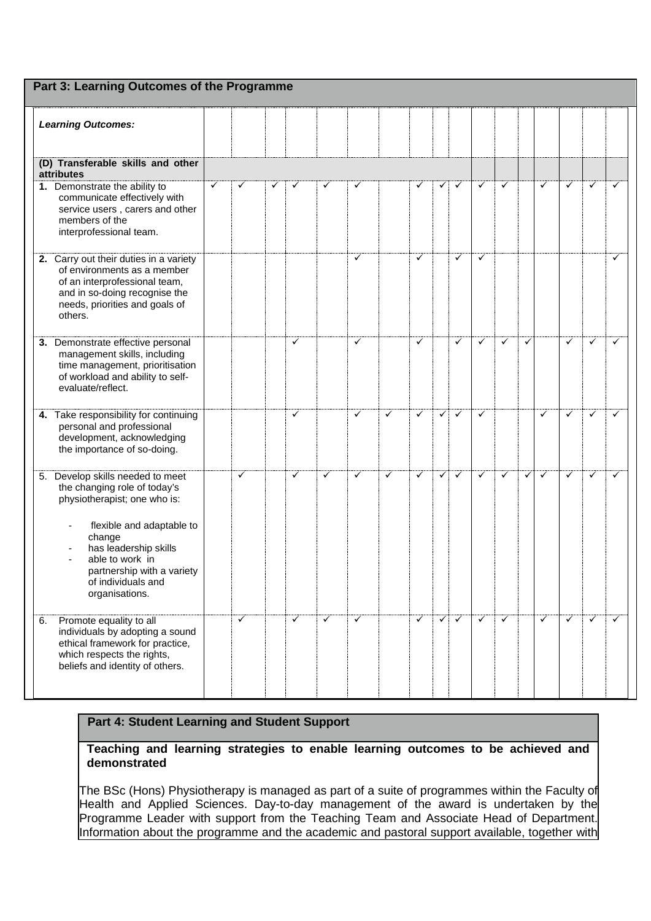| Part 3: Learning Outcomes of the Programme                                                                                                                                                                                                                |   |              |   |              |              |   |   |              |              |                           |              |              |              |              |              |              |   |
|-----------------------------------------------------------------------------------------------------------------------------------------------------------------------------------------------------------------------------------------------------------|---|--------------|---|--------------|--------------|---|---|--------------|--------------|---------------------------|--------------|--------------|--------------|--------------|--------------|--------------|---|
| <b>Learning Outcomes:</b>                                                                                                                                                                                                                                 |   |              |   |              |              |   |   |              |              |                           |              |              |              |              |              |              |   |
| (D) Transferable skills and other<br>attributes                                                                                                                                                                                                           |   |              |   |              |              |   |   |              |              |                           |              |              |              |              |              |              |   |
| 1. Demonstrate the ability to<br>communicate effectively with<br>service users, carers and other<br>members of the<br>interprofessional team.                                                                                                             | ✓ | ✓            | ✓ | ✓            | $\checkmark$ | ✓ |   | ✓            | $\checkmark$ | $\checkmark$              | $\checkmark$ | $\checkmark$ |              | $\checkmark$ | $\checkmark$ | $\checkmark$ | ✓ |
| 2. Carry out their duties in a variety<br>of environments as a member<br>of an interprofessional team,<br>and in so-doing recognise the<br>needs, priorities and goals of<br>others.                                                                      |   |              |   |              |              | ✓ |   | $\checkmark$ |              | $\checkmark$              | $\checkmark$ |              |              |              |              |              | ✓ |
| 3. Demonstrate effective personal<br>management skills, including<br>time management, prioritisation<br>of workload and ability to self-<br>evaluate/reflect.                                                                                             |   |              |   | ✓            |              | ✓ |   | ✓            |              | $\checkmark$              | $\checkmark$ | ✓            | $\checkmark$ |              | ✓            | $\checkmark$ | ✓ |
| 4. Take responsibility for continuing<br>personal and professional<br>development, acknowledging<br>the importance of so-doing.                                                                                                                           |   |              |   | $\checkmark$ |              | ✓ | ✓ | $\checkmark$ | $\checkmark$ | $\checkmark$              | $\checkmark$ |              |              | ✓            | $\checkmark$ | $\checkmark$ | ✓ |
| 5. Develop skills needed to meet<br>the changing role of today's<br>physiotherapist; one who is:<br>flexible and adaptable to<br>change<br>has leadership skills<br>able to work in<br>partnership with a variety<br>of individuals and<br>organisations. |   | $\checkmark$ |   | ✓            | ✓            | ✓ | ✓ | ✓            | $\checkmark$ | $\checkmark$              | $\checkmark$ | $\checkmark$ | $\checkmark$ | $\checkmark$ | ✓            | $\checkmark$ | ✓ |
| Promote equality to all<br>6.<br>individuals by adopting a sound<br>ethical framework for practice,<br>which respects the rights,<br>beliefs and identity of others.                                                                                      |   | $\checkmark$ |   | ✓            | $\checkmark$ | ✓ |   | ✓            |              | $\checkmark$ $\checkmark$ | $\checkmark$ | $\checkmark$ |              | $\checkmark$ | $\checkmark$ | $\checkmark$ | ✓ |

**Teaching and learning strategies to enable learning outcomes to be achieved and demonstrated**

The BSc (Hons) Physiotherapy is managed as part of a suite of programmes within the Faculty of Health and Applied Sciences. Day-to-day management of the award is undertaken by the Programme Leader with support from the Teaching Team and Associate Head of Department. Information about the programme and the academic and pastoral support available, together with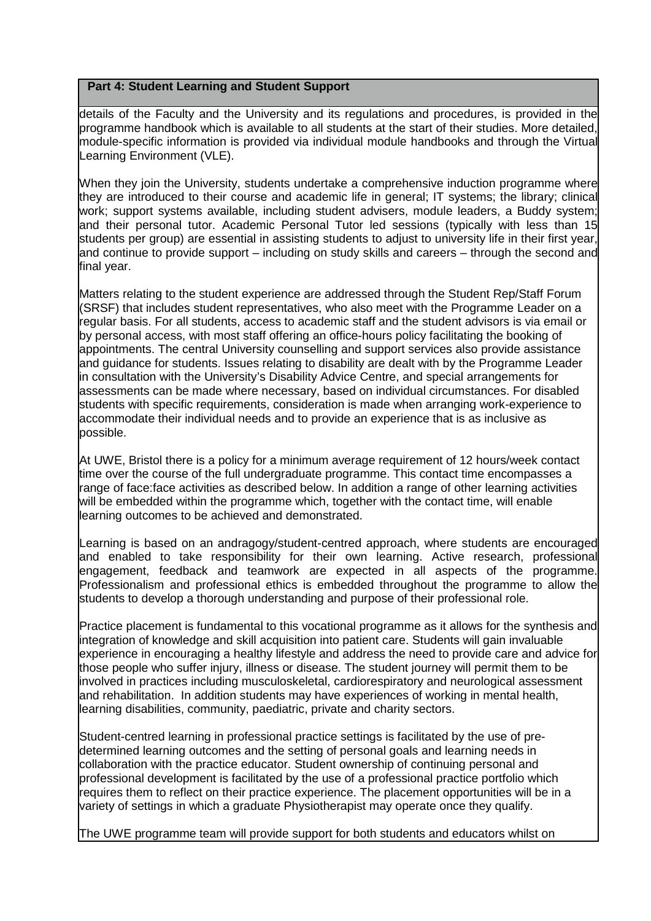details of the Faculty and the University and its regulations and procedures, is provided in the programme handbook which is available to all students at the start of their studies. More detailed, module-specific information is provided via individual module handbooks and through the Virtual Learning Environment (VLE).

When they join the University, students undertake a comprehensive induction programme where they are introduced to their course and academic life in general; IT systems; the library; clinical work; support systems available, including student advisers, module leaders, a Buddy system; and their personal tutor. Academic Personal Tutor led sessions (typically with less than 15 students per group) are essential in assisting students to adjust to university life in their first year, and continue to provide support – including on study skills and careers – through the second and final year.

Matters relating to the student experience are addressed through the Student Rep/Staff Forum (SRSF) that includes student representatives, who also meet with the Programme Leader on a regular basis. For all students, access to academic staff and the student advisors is via email or by personal access, with most staff offering an office-hours policy facilitating the booking of appointments. The central University counselling and support services also provide assistance and guidance for students. Issues relating to disability are dealt with by the Programme Leader in consultation with the University's Disability Advice Centre, and special arrangements for assessments can be made where necessary, based on individual circumstances. For disabled students with specific requirements, consideration is made when arranging work-experience to accommodate their individual needs and to provide an experience that is as inclusive as possible.

At UWE, Bristol there is a policy for a minimum average requirement of 12 hours/week contact time over the course of the full undergraduate programme. This contact time encompasses a range of face:face activities as described below. In addition a range of other learning activities will be embedded within the programme which, together with the contact time, will enable learning outcomes to be achieved and demonstrated.

Learning is based on an andragogy/student-centred approach, where students are encouraged and enabled to take responsibility for their own learning. Active research, professional engagement, feedback and teamwork are expected in all aspects of the programme. Professionalism and professional ethics is embedded throughout the programme to allow the students to develop a thorough understanding and purpose of their professional role.

Practice placement is fundamental to this vocational programme as it allows for the synthesis and integration of knowledge and skill acquisition into patient care. Students will gain invaluable experience in encouraging a healthy lifestyle and address the need to provide care and advice for those people who suffer injury, illness or disease. The student journey will permit them to be involved in practices including musculoskeletal, cardiorespiratory and neurological assessment and rehabilitation. In addition students may have experiences of working in mental health, learning disabilities, community, paediatric, private and charity sectors.

Student-centred learning in professional practice settings is facilitated by the use of predetermined learning outcomes and the setting of personal goals and learning needs in collaboration with the practice educator. Student ownership of continuing personal and professional development is facilitated by the use of a professional practice portfolio which requires them to reflect on their practice experience. The placement opportunities will be in a variety of settings in which a graduate Physiotherapist may operate once they qualify.

The UWE programme team will provide support for both students and educators whilst on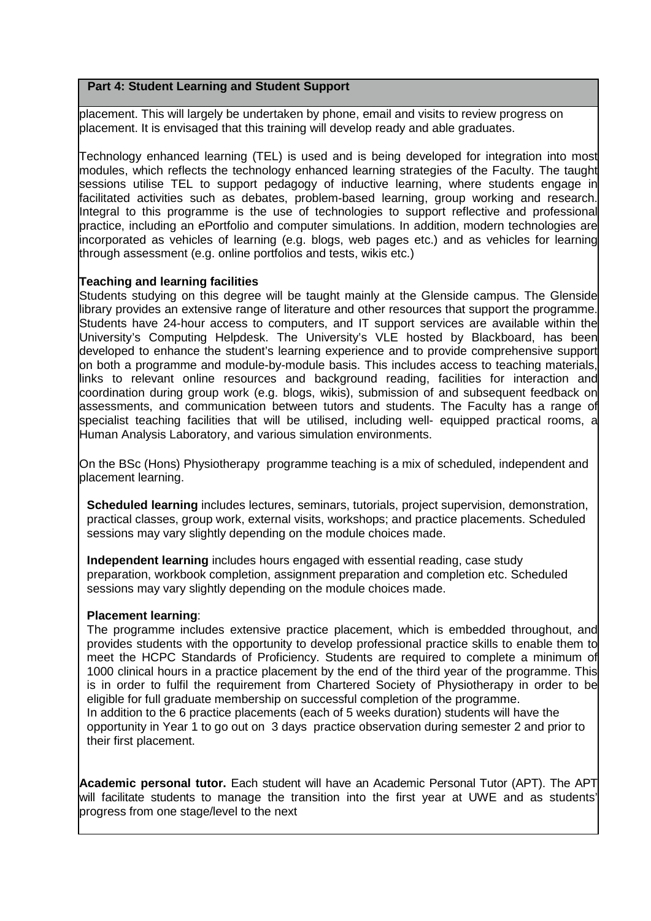placement. This will largely be undertaken by phone, email and visits to review progress on placement. It is envisaged that this training will develop ready and able graduates.

Technology enhanced learning (TEL) is used and is being developed for integration into most modules, which reflects the technology enhanced learning strategies of the Faculty. The taught sessions utilise TEL to support pedagogy of inductive learning, where students engage in facilitated activities such as debates, problem-based learning, group working and research. Integral to this programme is the use of technologies to support reflective and professional practice, including an ePortfolio and computer simulations. In addition, modern technologies are incorporated as vehicles of learning (e.g. blogs, web pages etc.) and as vehicles for learning through assessment (e.g. online portfolios and tests, wikis etc.)

### **Teaching and learning facilities**

Students studying on this degree will be taught mainly at the Glenside campus. The Glenside library provides an extensive range of literature and other resources that support the programme. Students have 24-hour access to computers, and IT support services are available within the University's Computing Helpdesk. The University's VLE hosted by Blackboard, has been developed to enhance the student's learning experience and to provide comprehensive support on both a programme and module-by-module basis. This includes access to teaching materials, links to relevant online resources and background reading, facilities for interaction and coordination during group work (e.g. blogs, wikis), submission of and subsequent feedback on assessments, and communication between tutors and students. The Faculty has a range of specialist teaching facilities that will be utilised, including well- equipped practical rooms, a Human Analysis Laboratory, and various simulation environments.

On the BSc (Hons) Physiotherapy programme teaching is a mix of scheduled, independent and placement learning.

**Scheduled learning** includes lectures, seminars, tutorials, project supervision, demonstration, practical classes, group work, external visits, workshops; and practice placements. Scheduled sessions may vary slightly depending on the module choices made.

**Independent learning** includes hours engaged with essential reading, case study preparation, workbook completion, assignment preparation and completion etc. Scheduled sessions may vary slightly depending on the module choices made.

### **Placement learning**:

The programme includes extensive practice placement, which is embedded throughout, and provides students with the opportunity to develop professional practice skills to enable them to meet the HCPC Standards of Proficiency. Students are required to complete a minimum of 1000 clinical hours in a practice placement by the end of the third year of the programme. This is in order to fulfil the requirement from Chartered Society of Physiotherapy in order to be eligible for full graduate membership on successful completion of the programme. In addition to the 6 practice placements (each of 5 weeks duration) students will have the opportunity in Year 1 to go out on 3 days practice observation during semester 2 and prior to their first placement.

**Academic personal tutor.** Each student will have an Academic Personal Tutor (APT). The APT will facilitate students to manage the transition into the first year at UWE and as students' progress from one stage/level to the next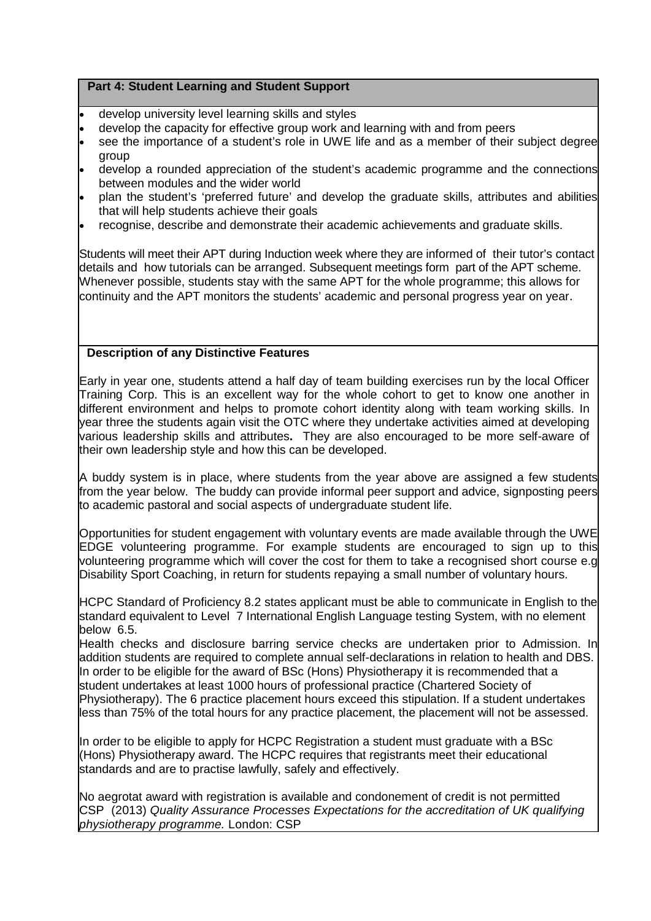- develop university level learning skills and styles
- develop the capacity for effective group work and learning with and from peers
- see the importance of a student's role in UWE life and as a member of their subject degree group
- develop a rounded appreciation of the student's academic programme and the connections between modules and the wider world
- plan the student's 'preferred future' and develop the graduate skills, attributes and abilities that will help students achieve their goals
- recognise, describe and demonstrate their academic achievements and graduate skills.

Students will meet their APT during Induction week where they are informed of their tutor's contact details and how tutorials can be arranged. Subsequent meetings form part of the APT scheme. Whenever possible, students stay with the same APT for the whole programme; this allows for continuity and the APT monitors the students' academic and personal progress year on year.

# **Description of any Distinctive Features**

Early in year one, students attend a half day of team building exercises run by the local Officer Training Corp. This is an excellent way for the whole cohort to get to know one another in different environment and helps to promote cohort identity along with team working skills. In year three the students again visit the OTC where they undertake activities aimed at developing various leadership skills and attributes**.** They are also encouraged to be more self-aware of their own leadership style and how this can be developed.

A buddy system is in place, where students from the year above are assigned a few students from the year below. The buddy can provide informal peer support and advice, signposting peers to academic pastoral and social aspects of undergraduate student life.

Opportunities for student engagement with voluntary events are made available through the UWE EDGE volunteering programme. For example students are encouraged to sign up to this volunteering programme which will cover the cost for them to take a recognised short course e.g Disability Sport Coaching, in return for students repaying a small number of voluntary hours.

HCPC Standard of Proficiency 8.2 states applicant must be able to communicate in English to the standard equivalent to Level 7 International English Language testing System, with no element below 6.5.

Health checks and disclosure barring service checks are undertaken prior to Admission. In addition students are required to complete annual self-declarations in relation to health and DBS. In order to be eligible for the award of BSc (Hons) Physiotherapy it is recommended that a student undertakes at least 1000 hours of professional practice (Chartered Society of Physiotherapy). The 6 practice placement hours exceed this stipulation. If a student undertakes less than 75% of the total hours for any practice placement, the placement will not be assessed.

In order to be eligible to apply for HCPC Registration a student must graduate with a BSc (Hons) Physiotherapy award. The HCPC requires that registrants meet their educational standards and are to practise lawfully, safely and effectively.

No aegrotat award with registration is available and condonement of credit is not permitted CSP (2013) *Quality Assurance Processes Expectations for the accreditation of UK qualifying physiotherapy programme.* London: CSP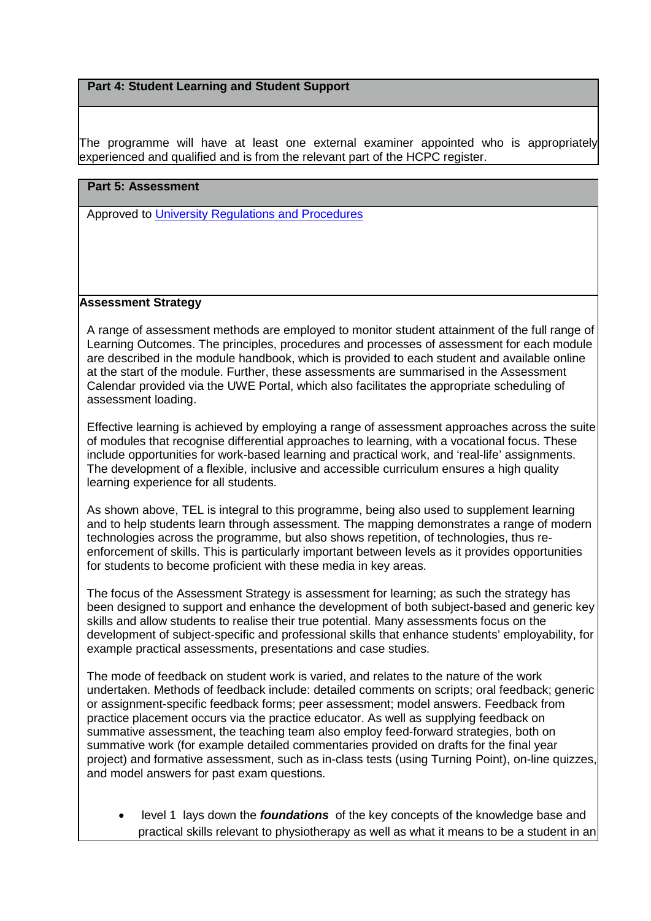The programme will have at least one external examiner appointed who is appropriately experienced and qualified and is from the relevant part of the HCPC register.

### **Part 5: Assessment**

Approved to [University Regulations and Procedures](http://www1.uwe.ac.uk/students/academicadvice/assessments/regulationsandprocedures.aspx)

# **Assessment Strategy**

A range of assessment methods are employed to monitor student attainment of the full range of Learning Outcomes. The principles, procedures and processes of assessment for each module are described in the module handbook, which is provided to each student and available online at the start of the module. Further, these assessments are summarised in the Assessment Calendar provided via the UWE Portal, which also facilitates the appropriate scheduling of assessment loading.

Effective learning is achieved by employing a range of assessment approaches across the suite of modules that recognise differential approaches to learning, with a vocational focus. These include opportunities for work-based learning and practical work, and 'real-life' assignments. The development of a flexible, inclusive and accessible curriculum ensures a high quality learning experience for all students.

As shown above, TEL is integral to this programme, being also used to supplement learning and to help students learn through assessment. The mapping demonstrates a range of modern technologies across the programme, but also shows repetition, of technologies, thus reenforcement of skills. This is particularly important between levels as it provides opportunities for students to become proficient with these media in key areas.

The focus of the Assessment Strategy is assessment for learning; as such the strategy has been designed to support and enhance the development of both subject-based and generic key skills and allow students to realise their true potential. Many assessments focus on the development of subject-specific and professional skills that enhance students' employability, for example practical assessments, presentations and case studies.

The mode of feedback on student work is varied, and relates to the nature of the work undertaken. Methods of feedback include: detailed comments on scripts; oral feedback; generic or assignment-specific feedback forms; peer assessment; model answers. Feedback from practice placement occurs via the practice educator. As well as supplying feedback on summative assessment, the teaching team also employ feed-forward strategies, both on summative work (for example detailed commentaries provided on drafts for the final year project) and formative assessment, such as in-class tests (using Turning Point), on-line quizzes, and model answers for past exam questions.

• level 1 lays down the *foundations* of the key concepts of the knowledge base and practical skills relevant to physiotherapy as well as what it means to be a student in an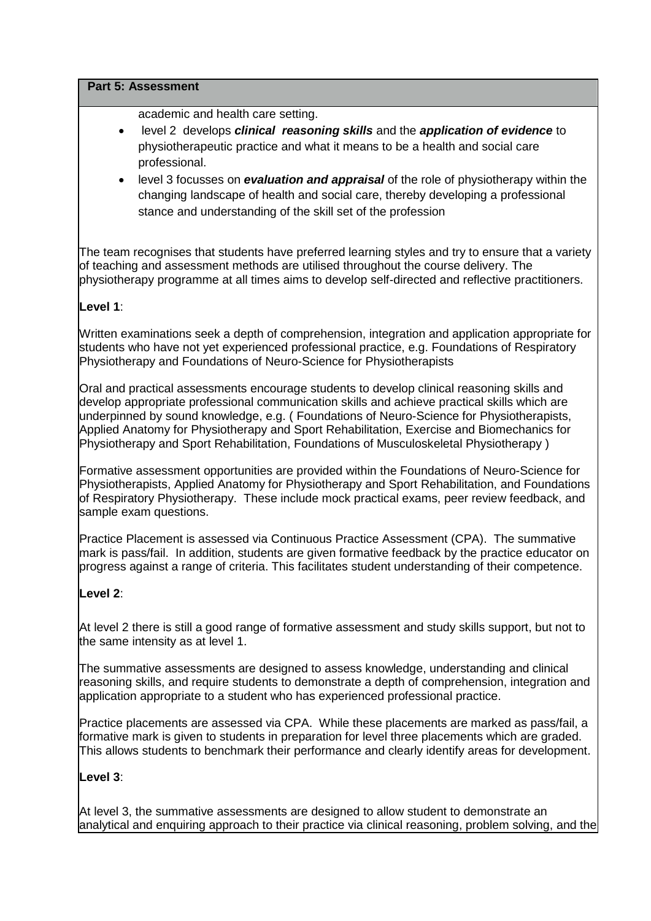#### **Part 5: Assessment**

academic and health care setting.

- level 2 develops *clinical reasoning skills* and the *application of evidence* to physiotherapeutic practice and what it means to be a health and social care professional.
- level 3 focusses on *evaluation and appraisal* of the role of physiotherapy within the changing landscape of health and social care, thereby developing a professional stance and understanding of the skill set of the profession

The team recognises that students have preferred learning styles and try to ensure that a variety of teaching and assessment methods are utilised throughout the course delivery. The physiotherapy programme at all times aims to develop self-directed and reflective practitioners.

# **Level 1**:

Written examinations seek a depth of comprehension, integration and application appropriate for students who have not yet experienced professional practice, e.g. Foundations of Respiratory Physiotherapy and Foundations of Neuro-Science for Physiotherapists

Oral and practical assessments encourage students to develop clinical reasoning skills and develop appropriate professional communication skills and achieve practical skills which are underpinned by sound knowledge, e.g. ( Foundations of Neuro-Science for Physiotherapists, Applied Anatomy for Physiotherapy and Sport Rehabilitation, Exercise and Biomechanics for Physiotherapy and Sport Rehabilitation, Foundations of Musculoskeletal Physiotherapy )

Formative assessment opportunities are provided within the Foundations of Neuro-Science for Physiotherapists, Applied Anatomy for Physiotherapy and Sport Rehabilitation, and Foundations of Respiratory Physiotherapy. These include mock practical exams, peer review feedback, and sample exam questions.

Practice Placement is assessed via Continuous Practice Assessment (CPA). The summative mark is pass/fail. In addition, students are given formative feedback by the practice educator on progress against a range of criteria. This facilitates student understanding of their competence.

# **Level 2**:

At level 2 there is still a good range of formative assessment and study skills support, but not to the same intensity as at level 1.

The summative assessments are designed to assess knowledge, understanding and clinical reasoning skills, and require students to demonstrate a depth of comprehension, integration and application appropriate to a student who has experienced professional practice.

Practice placements are assessed via CPA. While these placements are marked as pass/fail, a formative mark is given to students in preparation for level three placements which are graded. This allows students to benchmark their performance and clearly identify areas for development.

### **Level 3**:

At level 3, the summative assessments are designed to allow student to demonstrate an analytical and enquiring approach to their practice via clinical reasoning, problem solving, and the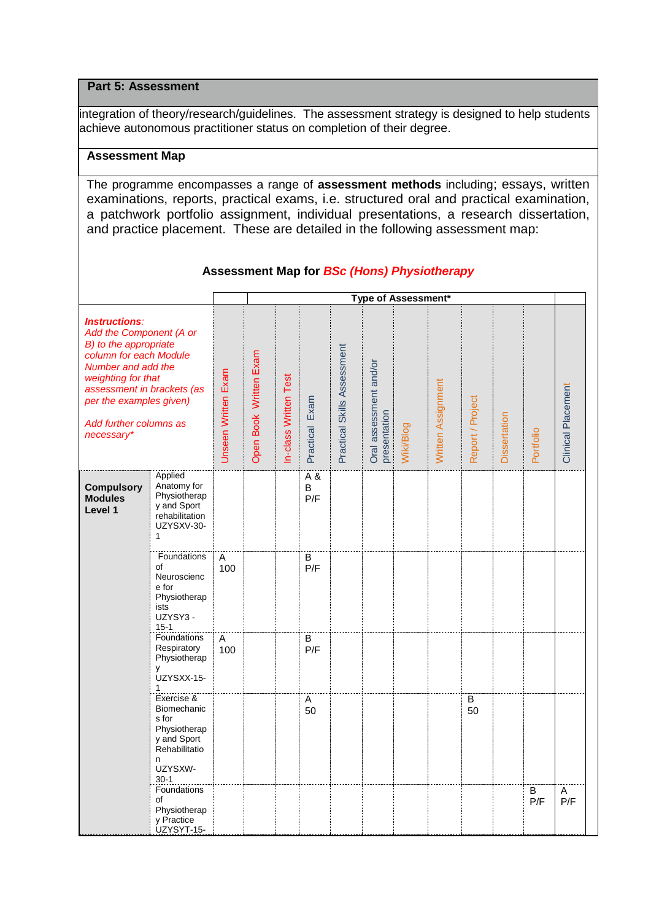#### **Part 5: Assessment**

integration of theory/research/guidelines. The assessment strategy is designed to help students achieve autonomous practitioner status on completion of their degree.

## **Assessment Map**

The programme encompasses a range of **assessment methods** including; essays, written examinations, reports, practical exams, i.e. structured oral and practical examination, a patchwork portfolio assignment, individual presentations, a research dissertation, and practice placement. These are detailed in the following assessment map:

|                                                                                                                                                                                                                                                 |                                                                                                                                                                                               |                     |                        |                       |                                          |                             |                                        | Type of Assessment* |                    |                  |              |           |                    |
|-------------------------------------------------------------------------------------------------------------------------------------------------------------------------------------------------------------------------------------------------|-----------------------------------------------------------------------------------------------------------------------------------------------------------------------------------------------|---------------------|------------------------|-----------------------|------------------------------------------|-----------------------------|----------------------------------------|---------------------|--------------------|------------------|--------------|-----------|--------------------|
| <b>Instructions:</b><br>Add the Component (A or<br>B) to the appropriate<br>column for each Module<br>Number and add the<br>weighting for that<br>assessment in brackets (as<br>per the examples given)<br>Add further columns as<br>necessary* |                                                                                                                                                                                               | Unseen Written Exam | Open Book Written Exam | In-class Written Test | Practical Exam                           | Practical Skills Assessment | Oral assessment and/or<br>presentation | Wiki/Blog           | Written Assignment | Report / Project | Dissertation | Portfolio | Clinical Placement |
| <b>Compulsory</b><br><b>Modules</b><br>Level 1                                                                                                                                                                                                  | Applied<br>Anatomy for<br>Physiotherap<br>y and Sport<br>rehabilitation<br>UZYSXV-30-<br>1<br>Foundations<br>of<br>Neuroscienc<br>e for<br>Physiotherap<br>ists<br>UZYSY3 -<br>$15 - 1$       | Α<br>100            |                        |                       | $\overline{A}$ &<br>B<br>P/F<br>В<br>P/F |                             |                                        |                     |                    |                  |              |           |                    |
|                                                                                                                                                                                                                                                 | Foundations<br>Respiratory<br>Physiotherap<br>y<br>UZYSXX-15-<br>$\mathbf{1}$<br>Exercise &<br>Biomechanic<br>s for<br>Physiotherap<br>y and Sport<br>Rehabilitatio<br>n<br>UZYSXW-<br>$30-1$ | A<br>100            |                        |                       | B<br>P/F<br>Α<br>50                      |                             |                                        |                     |                    | B<br>50          |              |           |                    |
|                                                                                                                                                                                                                                                 | Foundations<br>of<br>Physiotherap<br>y Practice<br>UZYSYT-15-                                                                                                                                 |                     |                        |                       |                                          |                             |                                        |                     |                    |                  |              | B<br>P/F  | Α<br>P/F           |

#### **Assessment Map for** *BSc (Hons) Physiotherapy*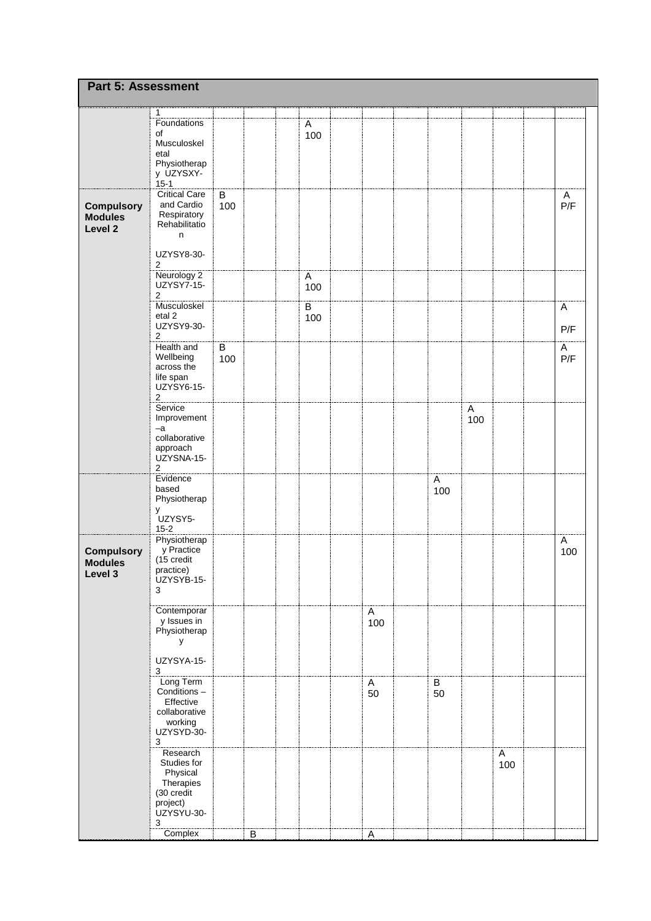| Part 5: Assessment                             |                                                                                                          |                |         |                       |                |                                  |          |          |          |
|------------------------------------------------|----------------------------------------------------------------------------------------------------------|----------------|---------|-----------------------|----------------|----------------------------------|----------|----------|----------|
|                                                | 1                                                                                                        |                |         |                       |                |                                  |          |          |          |
|                                                | Foundations<br>of<br>Musculoskel<br>etal<br>Physiotherap<br>y UZYSXY-<br>$15 - 1$                        |                |         | Α<br>100              |                |                                  |          |          |          |
| <b>Compulsory</b><br><b>Modules</b><br>Level 2 | <b>Critical Care</b><br>and Cardio<br>Respiratory<br>Rehabilitatio<br>n<br>UZYSY8-30-                    | B<br>100       |         |                       |                |                                  |          |          | A<br>P/F |
|                                                | 2<br>Neurology 2<br>UZYSY7-15-<br>2                                                                      |                |         | $\mathsf{A}$<br>100   |                |                                  |          |          |          |
|                                                | Musculoskel<br>etal <sub>2</sub><br>UZYSY9-30-<br>$\overline{c}$                                         |                |         | $\overline{B}$<br>100 |                |                                  |          |          | A<br>P/F |
|                                                | Health and<br>Wellbeing<br>across the<br>life span<br>UZYSY6-15-<br>$\overline{c}$                       | $\sf B$<br>100 |         |                       |                |                                  |          |          | A<br>P/F |
|                                                | Service<br>Improvement<br>$-a$<br>collaborative<br>approach<br>UZYSNA-15-<br>2                           |                |         |                       |                |                                  | A<br>100 |          |          |
|                                                | Evidence<br>based<br>Physiotherap<br>У<br>UZYSY5-<br>$15 - 2$                                            |                |         |                       |                | $\boldsymbol{\mathsf{A}}$<br>100 |          |          |          |
| <b>Compulsory</b><br><b>Modules</b><br>Level 3 | Physiotherap<br>y Practice<br>(15 credit<br>practice)<br>UZYSYB-15-<br>3                                 |                |         |                       |                |                                  |          |          | A<br>100 |
|                                                | Contemporar<br>y Issues in<br>Physiotherap<br>У                                                          |                |         |                       | A<br>100       |                                  |          |          |          |
|                                                | UZYSYA-15-<br>3                                                                                          |                |         |                       |                |                                  |          |          |          |
|                                                | Long Term<br>Conditions -<br>Effective<br>collaborative<br>working<br>UZYSYD-30-<br>3                    |                |         |                       | A<br>50        | $\overline{B}$<br>50             |          |          |          |
|                                                | Research<br>Studies for<br>Physical<br>Therapies<br>(30 credit<br>project)<br>UZYSYU-30-<br>$\mathbf{3}$ |                |         |                       |                |                                  |          | A<br>100 |          |
|                                                | Complex                                                                                                  |                | $\sf B$ |                       | $\overline{A}$ |                                  |          |          |          |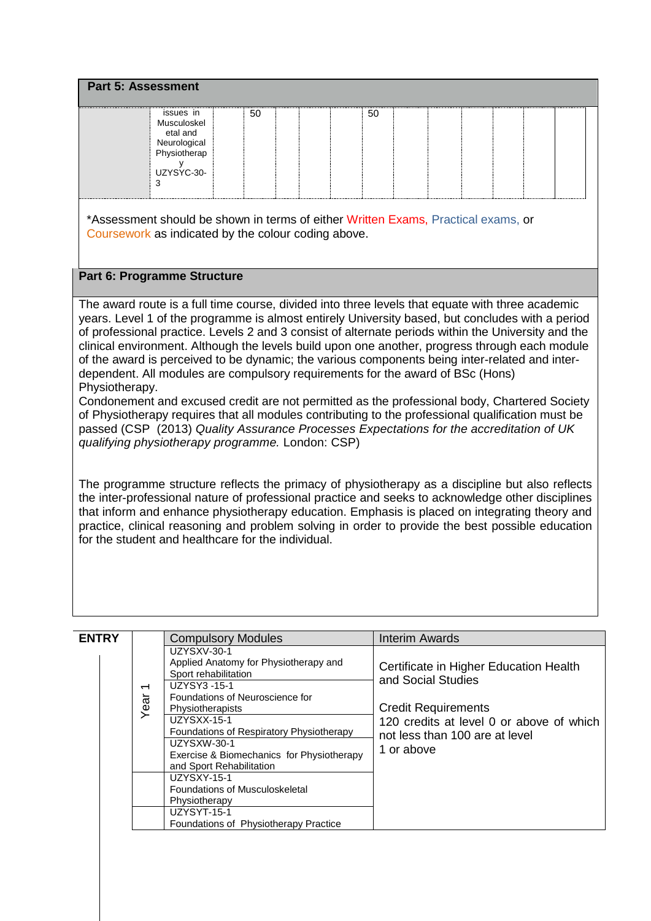| UZYSYC-30- | issues in<br>Musculoskel<br>etal and<br>Neurological<br>Physiotherap | 50 |  | 50 |  |  |  |  |
|------------|----------------------------------------------------------------------|----|--|----|--|--|--|--|
|------------|----------------------------------------------------------------------|----|--|----|--|--|--|--|

### **Part 6: Programme Structure**

The award route is a full time course, divided into three levels that equate with three academic years. Level 1 of the programme is almost entirely University based, but concludes with a period of professional practice. Levels 2 and 3 consist of alternate periods within the University and the clinical environment. Although the levels build upon one another, progress through each module of the award is perceived to be dynamic; the various components being inter-related and interdependent. All modules are compulsory requirements for the award of BSc (Hons) Physiotherapy.

Condonement and excused credit are not permitted as the professional body, Chartered Society of Physiotherapy requires that all modules contributing to the professional qualification must be passed (CSP (2013) *Quality Assurance Processes Expectations for the accreditation of UK qualifying physiotherapy programme.* London: CSP)

The programme structure reflects the primacy of physiotherapy as a discipline but also reflects the inter-professional nature of professional practice and seeks to acknowledge other disciplines that inform and enhance physiotherapy education. Emphasis is placed on integrating theory and practice, clinical reasoning and problem solving in order to provide the best possible education for the student and healthcare for the individual.

| <b>ENTRY</b> |                                  | <b>Compulsory Modules</b>                                                                                                                                                                                                                                                                                                                                                      | Interim Awards                                                                                                                                                                         |
|--------------|----------------------------------|--------------------------------------------------------------------------------------------------------------------------------------------------------------------------------------------------------------------------------------------------------------------------------------------------------------------------------------------------------------------------------|----------------------------------------------------------------------------------------------------------------------------------------------------------------------------------------|
|              | $\overline{\phantom{0}}$<br>Year | UZYSXV-30-1<br>Applied Anatomy for Physiotherapy and<br>Sport rehabilitation<br>UZYSY3-15-1<br>Foundations of Neuroscience for<br>Physiotherapists<br><b>UZYSXX-15-1</b><br>Foundations of Respiratory Physiotherapy<br>UZYSXW-30-1<br>Exercise & Biomechanics for Physiotherapy<br>and Sport Rehabilitation<br>UZYSXY-15-1<br>Foundations of Musculoskeletal<br>Physiotherapy | Certificate in Higher Education Health<br>and Social Studies<br><b>Credit Requirements</b><br>120 credits at level 0 or above of which<br>not less than 100 are at level<br>1 or above |
|              |                                  | <b>UZYSYT-15-1</b><br>Foundations of Physiotherapy Practice                                                                                                                                                                                                                                                                                                                    |                                                                                                                                                                                        |
|              |                                  |                                                                                                                                                                                                                                                                                                                                                                                |                                                                                                                                                                                        |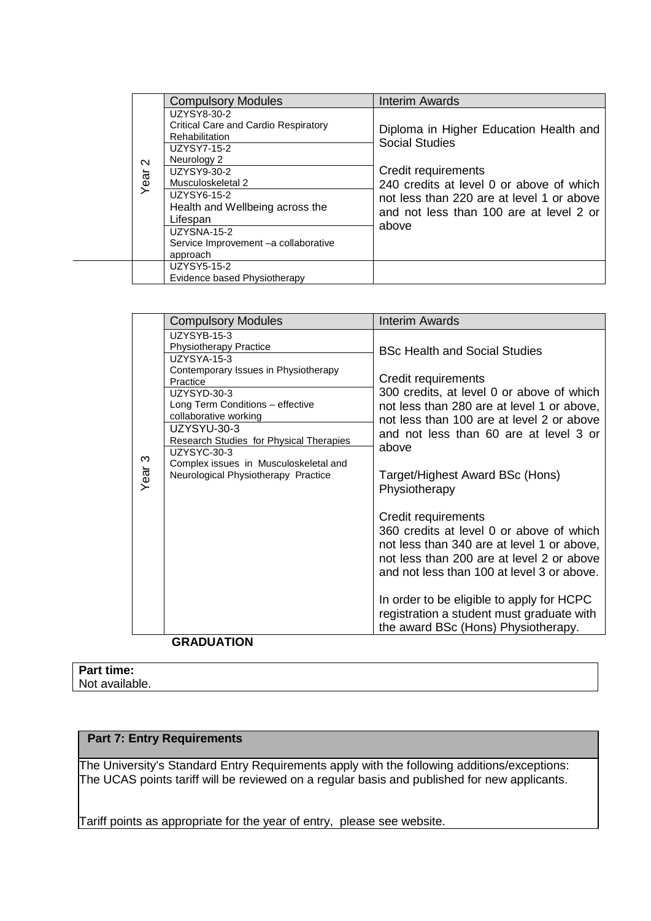|                | <b>Compulsory Modules</b>                                                                                                                                                                                                                                                | <b>Interim Awards</b>                                                                                                                                                                                                               |
|----------------|--------------------------------------------------------------------------------------------------------------------------------------------------------------------------------------------------------------------------------------------------------------------------|-------------------------------------------------------------------------------------------------------------------------------------------------------------------------------------------------------------------------------------|
| $\sim$<br>Year | UZYSY8-30-2<br>Critical Care and Cardio Respiratory<br>Rehabilitation<br>UZYSY7-15-2<br>Neurology 2<br>UZYSY9-30-2<br>Musculoskeletal 2<br>UZYSY6-15-2<br>Health and Wellbeing across the<br>Lifespan<br>UZYSNA-15-2<br>Service Improvement -a collaborative<br>approach | Diploma in Higher Education Health and<br><b>Social Studies</b><br>Credit requirements<br>240 credits at level 0 or above of which<br>not less than 220 are at level 1 or above<br>and not less than 100 are at level 2 or<br>above |
|                | UZYSY5-15-2<br>Evidence based Physiotherapy                                                                                                                                                                                                                              |                                                                                                                                                                                                                                     |

|                   | <b>Compulsory Modules</b>                                                                                                                                                                                                                                                                                                                                   | Interim Awards                                                                                                                                                                                                                                                                                                                            |
|-------------------|-------------------------------------------------------------------------------------------------------------------------------------------------------------------------------------------------------------------------------------------------------------------------------------------------------------------------------------------------------------|-------------------------------------------------------------------------------------------------------------------------------------------------------------------------------------------------------------------------------------------------------------------------------------------------------------------------------------------|
| Year <sub>3</sub> | UZYSYB-15-3<br><b>Physiotherapy Practice</b><br><b>UZYSYA-15-3</b><br>Contemporary Issues in Physiotherapy<br>Practice<br>UZYSYD-30-3<br>Long Term Conditions - effective<br>collaborative working<br>UZYSYU-30-3<br>Research Studies for Physical Therapies<br>UZYSYC-30-3<br>Complex issues in Musculoskeletal and<br>Neurological Physiotherapy Practice | <b>BSc Health and Social Studies</b><br>Credit requirements<br>300 credits, at level 0 or above of which<br>not less than 280 are at level 1 or above,<br>not less than 100 are at level 2 or above<br>and not less than 60 are at level 3 or<br>above<br>Target/Highest Award BSc (Hons)<br>Physiotherapy                                |
|                   |                                                                                                                                                                                                                                                                                                                                                             | Credit requirements<br>360 credits at level 0 or above of which<br>not less than 340 are at level 1 or above,<br>not less than 200 are at level 2 or above<br>and not less than 100 at level 3 or above.<br>In order to be eligible to apply for HCPC<br>registration a student must graduate with<br>the award BSc (Hons) Physiotherapy. |
|                   | <b>GRADUATION</b>                                                                                                                                                                                                                                                                                                                                           |                                                                                                                                                                                                                                                                                                                                           |

#### **Part time:** Not available.

# **Part 7: Entry Requirements**

The University's Standard Entry Requirements apply with the following additions/exceptions: The UCAS points tariff will be reviewed on a regular basis and published for new applicants.

Tariff points as appropriate for the year of entry, please see website.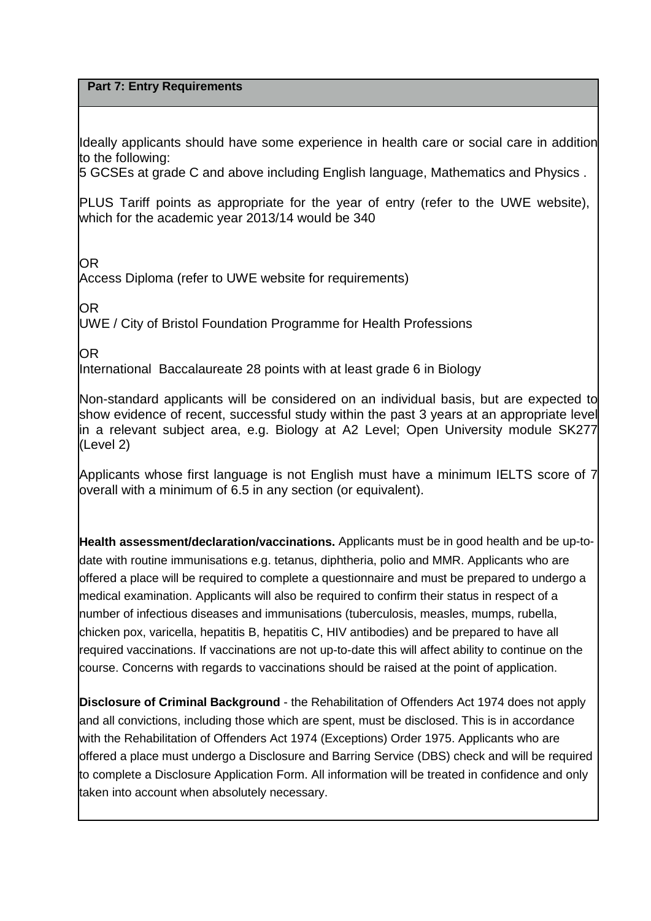# **Part 7: Entry Requirements**

Ideally applicants should have some experience in health care or social care in addition to the following:

5 GCSEs at grade C and above including English language, Mathematics and Physics .

PLUS Tariff points as appropriate for the year of entry (refer to the UWE website), which for the academic year 2013/14 would be 340

OR

Access Diploma (refer to UWE website for requirements)

OR

UWE / City of Bristol Foundation Programme for Health Professions

OR

International Baccalaureate 28 points with at least grade 6 in Biology

Non-standard applicants will be considered on an individual basis, but are expected to show evidence of recent, successful study within the past 3 years at an appropriate level in a relevant subject area, e.g. Biology at A2 Level; Open University module SK277 (Level 2)

Applicants whose first language is not English must have a minimum IELTS score of 7 overall with a minimum of 6.5 in any section (or equivalent).

**Health assessment/declaration/vaccinations.** Applicants must be in good health and be up-todate with routine immunisations e.g. tetanus, diphtheria, polio and MMR. Applicants who are offered a place will be required to complete a questionnaire and must be prepared to undergo a medical examination. Applicants will also be required to confirm their status in respect of a number of infectious diseases and immunisations (tuberculosis, measles, mumps, rubella, chicken pox, varicella, hepatitis B, hepatitis C, HIV antibodies) and be prepared to have all required vaccinations. If vaccinations are not up-to-date this will affect ability to continue on the course. Concerns with regards to vaccinations should be raised at the point of application.

**Disclosure of Criminal Background** - the Rehabilitation of Offenders Act 1974 does not apply and all convictions, including those which are spent, must be disclosed. This is in accordance with the Rehabilitation of Offenders Act 1974 (Exceptions) Order 1975. Applicants who are offered a place must undergo a Disclosure and Barring Service (DBS) check and will be required to complete a Disclosure Application Form. All information will be treated in confidence and only taken into account when absolutely necessary.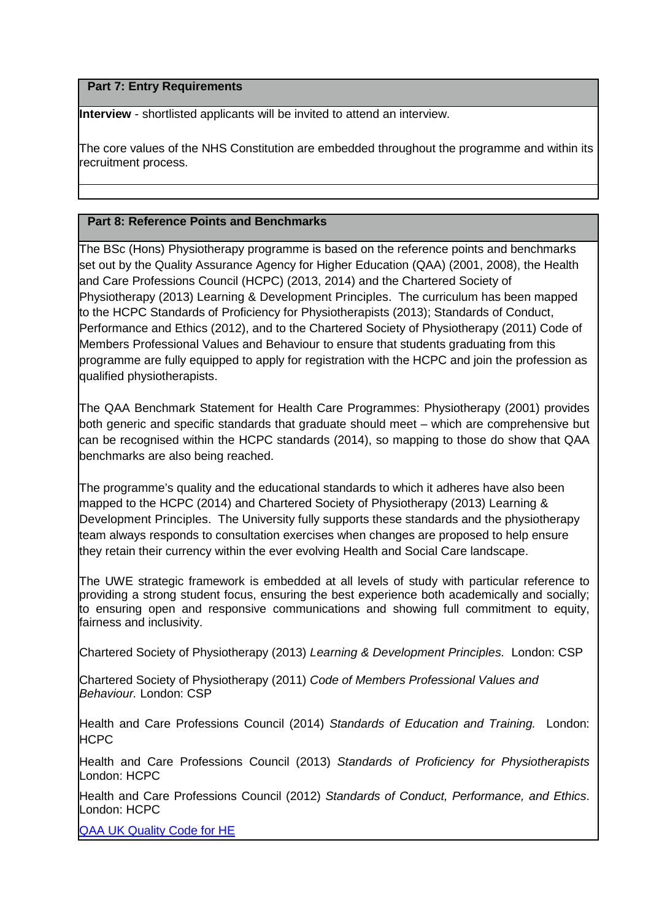# **Part 7: Entry Requirements**

**Interview** - shortlisted applicants will be invited to attend an interview.

The core values of the NHS Constitution are embedded throughout the programme and within its recruitment process.

# **Part 8: Reference Points and Benchmarks**

The BSc (Hons) Physiotherapy programme is based on the reference points and benchmarks set out by the Quality Assurance Agency for Higher Education (QAA) (2001, 2008), the Health and Care Professions Council (HCPC) (2013, 2014) and the Chartered Society of Physiotherapy (2013) Learning & Development Principles. The curriculum has been mapped to the HCPC Standards of Proficiency for Physiotherapists (2013); Standards of Conduct, Performance and Ethics (2012), and to the Chartered Society of Physiotherapy (2011) Code of Members Professional Values and Behaviour to ensure that students graduating from this programme are fully equipped to apply for registration with the HCPC and join the profession as qualified physiotherapists.

The QAA Benchmark Statement for Health Care Programmes: Physiotherapy (2001) provides both generic and specific standards that graduate should meet – which are comprehensive but can be recognised within the HCPC standards (2014), so mapping to those do show that QAA benchmarks are also being reached.

The programme's quality and the educational standards to which it adheres have also been mapped to the HCPC (2014) and Chartered Society of Physiotherapy (2013) Learning & Development Principles. The University fully supports these standards and the physiotherapy team always responds to consultation exercises when changes are proposed to help ensure they retain their currency within the ever evolving Health and Social Care landscape.

The UWE strategic framework is embedded at all levels of study with particular reference to providing a strong student focus, ensuring the best experience both academically and socially; to ensuring open and responsive communications and showing full commitment to equity, fairness and inclusivity.

Chartered Society of Physiotherapy (2013) *Learning & Development Principles.* London: CSP

Chartered Society of Physiotherapy (2011) *Code of Members Professional Values and Behaviour.* London: CSP

Health and Care Professions Council (2014) *Standards of Education and Training.* London: HCPC

Health and Care Professions Council (2013) *Standards of Proficiency for Physiotherapists*  London: HCPC

Health and Care Professions Council (2012) *Standards of Conduct, Performance, and Ethics*. London: HCPC

[QAA UK Quality Code for HE](http://www.qaa.ac.uk/assuringstandardsandquality/quality-code/Pages/default.aspx)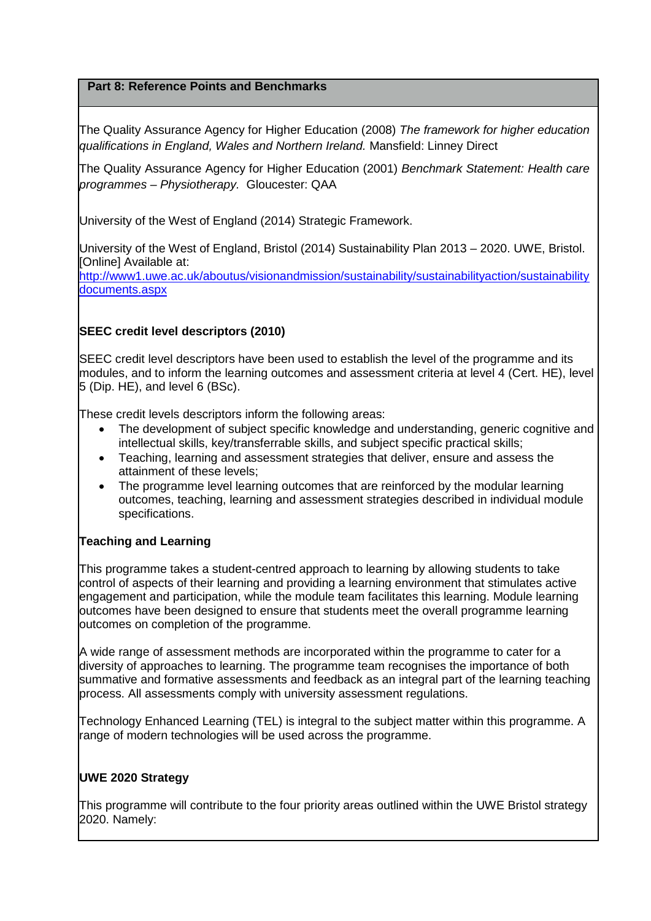# **Part 8: Reference Points and Benchmarks**

The Quality Assurance Agency for Higher Education (2008) *The framework for higher education qualifications in England, Wales and Northern Ireland.* Mansfield: Linney Direct

The Quality Assurance Agency for Higher Education (2001) *Benchmark Statement: Health care programmes – Physiotherapy.* Gloucester: QAA

University of the West of England (2014) Strategic Framework.

University of the West of England, Bristol (2014) Sustainability Plan 2013 – 2020. UWE, Bristol. [Online] Available at:

[http://www1.uwe.ac.uk/aboutus/visionandmission/sustainability/sustainabilityaction/sustainability](http://www1.uwe.ac.uk/aboutus/visionandmission/sustainability/sustainabilityaction/sustainabilitydocuments.aspx) [documents.aspx](http://www1.uwe.ac.uk/aboutus/visionandmission/sustainability/sustainabilityaction/sustainabilitydocuments.aspx)

# **SEEC credit level descriptors (2010)**

SEEC credit level descriptors have been used to establish the level of the programme and its modules, and to inform the learning outcomes and assessment criteria at level 4 (Cert. HE), level 5 (Dip. HE), and level 6 (BSc).

These credit levels descriptors inform the following areas:

- The development of subject specific knowledge and understanding, generic cognitive and intellectual skills, key/transferrable skills, and subject specific practical skills;
- Teaching, learning and assessment strategies that deliver, ensure and assess the attainment of these levels;
- The programme level learning outcomes that are reinforced by the modular learning outcomes, teaching, learning and assessment strategies described in individual module specifications.

# **Teaching and Learning**

This programme takes a student-centred approach to learning by allowing students to take control of aspects of their learning and providing a learning environment that stimulates active engagement and participation, while the module team facilitates this learning. Module learning outcomes have been designed to ensure that students meet the overall programme learning outcomes on completion of the programme.

A wide range of assessment methods are incorporated within the programme to cater for a diversity of approaches to learning. The programme team recognises the importance of both summative and formative assessments and feedback as an integral part of the learning teaching process. All assessments comply with university assessment regulations.

Technology Enhanced Learning (TEL) is integral to the subject matter within this programme. A range of modern technologies will be used across the programme.

### **UWE 2020 Strategy**

This programme will contribute to the four priority areas outlined within the UWE Bristol strategy 2020. Namely: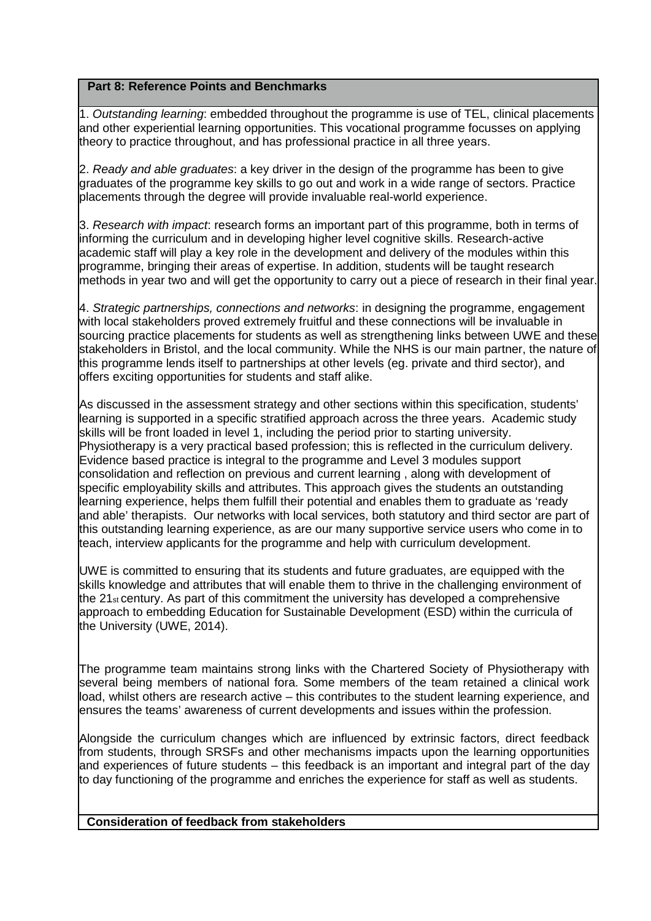## **Part 8: Reference Points and Benchmarks**

1. *Outstanding learning*: embedded throughout the programme is use of TEL, clinical placements and other experiential learning opportunities. This vocational programme focusses on applying theory to practice throughout, and has professional practice in all three years.

2. *Ready and able graduates*: a key driver in the design of the programme has been to give graduates of the programme key skills to go out and work in a wide range of sectors. Practice placements through the degree will provide invaluable real-world experience.

3. *Research with impact*: research forms an important part of this programme, both in terms of informing the curriculum and in developing higher level cognitive skills. Research-active academic staff will play a key role in the development and delivery of the modules within this programme, bringing their areas of expertise. In addition, students will be taught research methods in year two and will get the opportunity to carry out a piece of research in their final year.

4. *Strategic partnerships, connections and networks*: in designing the programme, engagement with local stakeholders proved extremely fruitful and these connections will be invaluable in sourcing practice placements for students as well as strengthening links between UWE and these stakeholders in Bristol, and the local community. While the NHS is our main partner, the nature of this programme lends itself to partnerships at other levels (eg. private and third sector), and offers exciting opportunities for students and staff alike.

As discussed in the assessment strategy and other sections within this specification, students' learning is supported in a specific stratified approach across the three years. Academic study skills will be front loaded in level 1, including the period prior to starting university. Physiotherapy is a very practical based profession; this is reflected in the curriculum delivery. Evidence based practice is integral to the programme and Level 3 modules support consolidation and reflection on previous and current learning , along with development of specific employability skills and attributes. This approach gives the students an outstanding learning experience, helps them fulfill their potential and enables them to graduate as 'ready and able' therapists. Our networks with local services, both statutory and third sector are part of this outstanding learning experience, as are our many supportive service users who come in to teach, interview applicants for the programme and help with curriculum development.

UWE is committed to ensuring that its students and future graduates, are equipped with the skills knowledge and attributes that will enable them to thrive in the challenging environment of the 21<sub>st</sub> century. As part of this commitment the university has developed a comprehensive approach to embedding Education for Sustainable Development (ESD) within the curricula of the University (UWE, 2014).

The programme team maintains strong links with the Chartered Society of Physiotherapy with several being members of national fora. Some members of the team retained a clinical work load, whilst others are research active – this contributes to the student learning experience, and ensures the teams' awareness of current developments and issues within the profession.

Alongside the curriculum changes which are influenced by extrinsic factors, direct feedback from students, through SRSFs and other mechanisms impacts upon the learning opportunities and experiences of future students – this feedback is an important and integral part of the day to day functioning of the programme and enriches the experience for staff as well as students.

**Consideration of feedback from stakeholders**